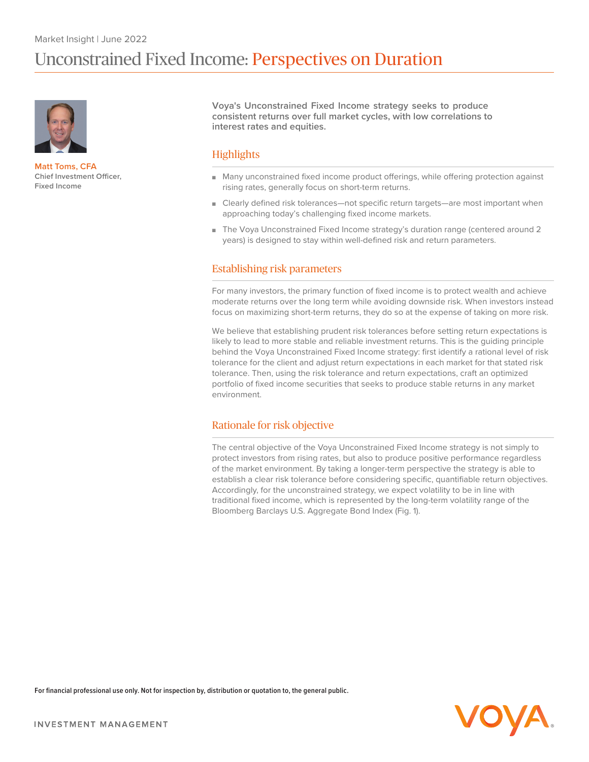

**Matt Toms, CFA Chief Investment Officer, Fixed Income**

**Voya's Unconstrained Fixed Income strategy seeks to produce consistent returns over full market cycles, with low correlations to interest rates and equities.**

# **Highlights**

- Many unconstrained fixed income product offerings, while offering protection against rising rates, generally focus on short-term returns.
- Clearly defined risk tolerances—not specific return targets—are most important when approaching today's challenging fixed income markets.
- The Voya Unconstrained Fixed Income strategy's duration range (centered around 2 years) is designed to stay within well-defined risk and return parameters.

## Establishing risk parameters

For many investors, the primary function of fixed income is to protect wealth and achieve moderate returns over the long term while avoiding downside risk. When investors instead focus on maximizing short-term returns, they do so at the expense of taking on more risk.

We believe that establishing prudent risk tolerances before setting return expectations is likely to lead to more stable and reliable investment returns. This is the guiding principle behind the Voya Unconstrained Fixed Income strategy: first identify a rational level of risk tolerance for the client and adjust return expectations in each market for that stated risk tolerance. Then, using the risk tolerance and return expectations, craft an optimized portfolio of fixed income securities that seeks to produce stable returns in any market environment.

## Rationale for risk objective

The central objective of the Voya Unconstrained Fixed Income strategy is not simply to protect investors from rising rates, but also to produce positive performance regardless of the market environment. By taking a longer-term perspective the strategy is able to establish a clear risk tolerance before considering specific, quantifiable return objectives. Accordingly, for the unconstrained strategy, we expect volatility to be in line with traditional fixed income, which is represented by the long-term volatility range of the Bloomberg Barclays U.S. Aggregate Bond Index (Fig. 1).

**For financial professional use only. Not for inspection by, distribution or quotation to, the general public.**

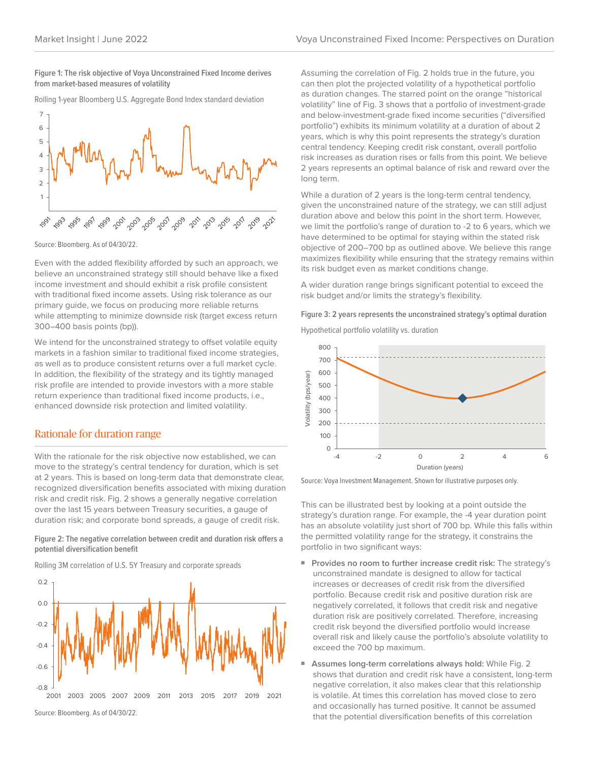**Figure 1: The risk objective of Voya Unconstrained Fixed Income derives from market-based measures of volatility**

Rolling 1-year Bloomberg U.S. Aggregate Bond Index standard deviation



Source: Bloomberg. As of 04/30/22.

Even with the added flexibility afforded by such an approach, we believe an unconstrained strategy still should behave like a fixed income investment and should exhibit a risk profile consistent with traditional fixed income assets. Using risk tolerance as our primary guide, we focus on producing more reliable returns while attempting to minimize downside risk (target excess return 300–400 basis points (bp)).

We intend for the unconstrained strategy to offset volatile equity markets in a fashion similar to traditional fixed income strategies, as well as to produce consistent returns over a full market cycle. In addition, the flexibility of the strategy and its tightly managed risk profile are intended to provide investors with a more stable return experience than traditional fixed income products, i.e., enhanced downside risk protection and limited volatility.

### Rationale for duration range

With the rationale for the risk objective now established, we can move to the strategy's central tendency for duration, which is set at 2 years. This is based on long-term data that demonstrate clear, recognized diversification benefits associated with mixing duration risk and credit risk. Fig. 2 shows a generally negative correlation over the last 15 years between Treasury securities, a gauge of duration risk; and corporate bond spreads, a gauge of credit risk.

### **Figure 2: The negative correlation between credit and duration risk offers a potential diversification benefit**

Rolling 3M correlation of U.S. 5Y Treasury and corporate spreads



Source: Bloomberg. As of 04/30/22.

Assuming the correlation of Fig. 2 holds true in the future, you can then plot the projected volatility of a hypothetical portfolio as duration changes. The starred point on the orange "historical volatility" line of Fig. 3 shows that a portfolio of investment-grade and below-investment-grade fixed income securities ("diversified portfolio") exhibits its minimum volatility at a duration of about 2 years, which is why this point represents the strategy's duration central tendency. Keeping credit risk constant, overall portfolio risk increases as duration rises or falls from this point. We believe 2 years represents an optimal balance of risk and reward over the long term.

While a duration of 2 years is the long-term central tendency, given the unconstrained nature of the strategy, we can still adjust duration above and below this point in the short term. However, we limit the portfolio's range of duration to -2 to 6 years, which we have determined to be optimal for staying within the stated risk objective of 200–700 bp as outlined above. We believe this range maximizes flexibility while ensuring that the strategy remains within its risk budget even as market conditions change.

A wider duration range brings significant potential to exceed the risk budget and/or limits the strategy's flexibility.

**Figure 3: 2 years represents the unconstrained strategy's optimal duration**

Hypothetical portfolio volatility vs. duration



Source: Voya Investment Management. Shown for illustrative purposes only.

This can be illustrated best by looking at a point outside the strategy's duration range. For example, the -4 year duration point has an absolute volatility just short of 700 bp. While this falls within the permitted volatility range for the strategy, it constrains the portfolio in two significant ways:

- **■ Provides no room to further increase credit risk:** The strategy's unconstrained mandate is designed to allow for tactical increases or decreases of credit risk from the diversified portfolio. Because credit risk and positive duration risk are negatively correlated, it follows that credit risk and negative duration risk are positively correlated. Therefore, increasing credit risk beyond the diversified portfolio would increase overall risk and likely cause the portfolio's absolute volatility to exceed the 700 bp maximum.
- **■ Assumes long-term correlations always hold:** While Fig. 2 shows that duration and credit risk have a consistent, long-term negative correlation, it also makes clear that this relationship is volatile. At times this correlation has moved close to zero and occasionally has turned positive. It cannot be assumed that the potential diversification benefits of this correlation